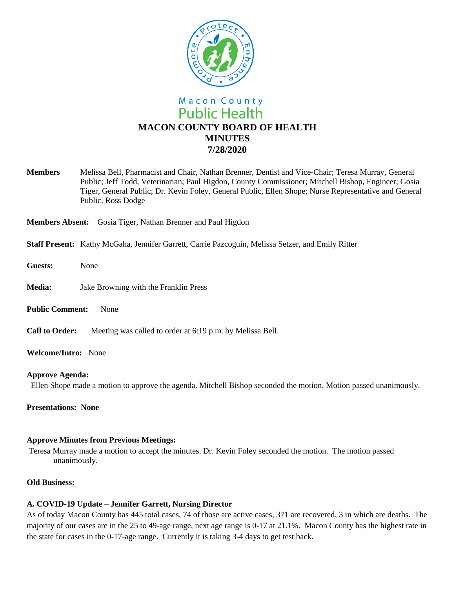

**Members** Melissa Bell, Pharmacist and Chair, Nathan Brenner, Dentist and Vice-Chair; Teresa Murray, General Public; Jeff Todd, Veterinarian; Paul Higdon, County Commissioner; Mitchell Bishop, Engineer; Gosia Tiger, General Public; Dr. Kevin Foley, General Public, Ellen Shope; Nurse Representative and General Public, Ross Dodge

**Members Absent:** Gosia Tiger, Nathan Brenner and Paul Higdon

- **Staff Present:** Kathy McGaha, Jennifer Garrett, Carrie Pazcoguin, Melissa Setzer, and Emily Ritter
- **Guests:** None
- **Media:** Jake Browning with the Franklin Press
- **Public Comment:** None
- **Call to Order:** Meeting was called to order at 6:19 p.m. by Melissa Bell.
- **Welcome/Intro:** None

#### **Approve Agenda:**

Ellen Shope made a motion to approve the agenda. Mitchell Bishop seconded the motion. Motion passed unanimously.

**Presentations: None**

### **Approve Minutes from Previous Meetings:**

Teresa Murray made a motion to accept the minutes. Dr. Kevin Foley seconded the motion. The motion passed unanimously.

### **Old Business:**

### **A. COVID-19 Update – Jennifer Garrett, Nursing Director**

As of today Macon County has 445 total cases, 74 of those are active cases, 371 are recovered, 3 in which are deaths. The majority of our cases are in the 25 to 49-age range, next age range is 0-17 at 21.1%. Macon County has the highest rate in the state for cases in the 0-17-age range. Currently it is taking 3-4 days to get test back.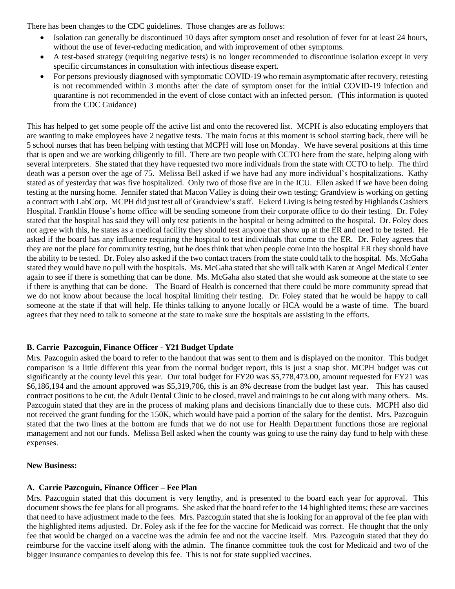There has been changes to the CDC guidelines. Those changes are as follows:

- Isolation can generally be discontinued 10 days after symptom onset and resolution of fever for at least 24 hours, without the use of fever-reducing medication, and with improvement of other symptoms.
- A test-based strategy (requiring negative tests) is no longer recommended to discontinue isolation except in very specific circumstances in consultation with infectious disease expert.
- For persons previously diagnosed with symptomatic COVID-19 who remain asymptomatic after recovery, retesting is not recommended within 3 months after the date of symptom onset for the initial COVID-19 infection and quarantine is not recommended in the event of close contact with an infected person. (This information is quoted from the CDC Guidance)

This has helped to get some people off the active list and onto the recovered list. MCPH is also educating employers that are wanting to make employees have 2 negative tests. The main focus at this moment is school starting back, there will be 5 school nurses that has been helping with testing that MCPH will lose on Monday. We have several positions at this time that is open and we are working diligently to fill. There are two people with CCTO here from the state, helping along with several interpreters. She stated that they have requested two more individuals from the state with CCTO to help. The third death was a person over the age of 75. Melissa Bell asked if we have had any more individual's hospitalizations. Kathy stated as of yesterday that was five hospitalized. Only two of those five are in the ICU. Ellen asked if we have been doing testing at the nursing home. Jennifer stated that Macon Valley is doing their own testing; Grandview is working on getting a contract with LabCorp. MCPH did just test all of Grandview's staff. Eckerd Living is being tested by Highlands Cashiers Hospital. Franklin House's home office will be sending someone from their corporate office to do their testing. Dr. Foley stated that the hospital has said they will only test patients in the hospital or being admitted to the hospital. Dr. Foley does not agree with this, he states as a medical facility they should test anyone that show up at the ER and need to be tested. He asked if the board has any influence requiring the hospital to test individuals that come to the ER. Dr. Foley agrees that they are not the place for community testing, but he does think that when people come into the hospital ER they should have the ability to be tested. Dr. Foley also asked if the two contact tracers from the state could talk to the hospital. Ms. McGaha stated they would have no pull with the hospitals. Ms. McGaha stated that she will talk with Karen at Angel Medical Center again to see if there is something that can be done. Ms. McGaha also stated that she would ask someone at the state to see if there is anything that can be done. The Board of Health is concerned that there could be more community spread that we do not know about because the local hospital limiting their testing. Dr. Foley stated that he would be happy to call someone at the state if that will help. He thinks talking to anyone locally or HCA would be a waste of time. The board agrees that they need to talk to someone at the state to make sure the hospitals are assisting in the efforts.

# **B. Carrie Pazcoguin, Finance Officer - Y21 Budget Update**

Mrs. Pazcoguin asked the board to refer to the handout that was sent to them and is displayed on the monitor. This budget comparison is a little different this year from the normal budget report, this is just a snap shot. MCPH budget was cut significantly at the county level this year. Our total budget for FY20 was \$5,778,473.00, amount requested for FY21 was \$6,186,194 and the amount approved was \$5,319,706, this is an 8% decrease from the budget last year. This has caused contract positions to be cut, the Adult Dental Clinic to be closed, travel and trainings to be cut along with many others. Ms. Pazcoguin stated that they are in the process of making plans and decisions financially due to these cuts. MCPH also did not received the grant funding for the 150K, which would have paid a portion of the salary for the dentist. Mrs. Pazcoguin stated that the two lines at the bottom are funds that we do not use for Health Department functions those are regional management and not our funds. Melissa Bell asked when the county was going to use the rainy day fund to help with these expenses.

# **New Business:**

# **A. Carrie Pazcoguin, Finance Officer – Fee Plan**

Mrs. Pazcoguin stated that this document is very lengthy, and is presented to the board each year for approval. This document shows the fee plans for all programs. She asked that the board refer to the 14 highlighted items; these are vaccines that need to have adjustment made to the fees. Mrs. Pazcoguin stated that she is looking for an approval of the fee plan with the highlighted items adjusted. Dr. Foley ask if the fee for the vaccine for Medicaid was correct. He thought that the only fee that would be charged on a vaccine was the admin fee and not the vaccine itself. Mrs. Pazcoguin stated that they do reimburse for the vaccine itself along with the admin. The finance committee took the cost for Medicaid and two of the bigger insurance companies to develop this fee. This is not for state supplied vaccines.